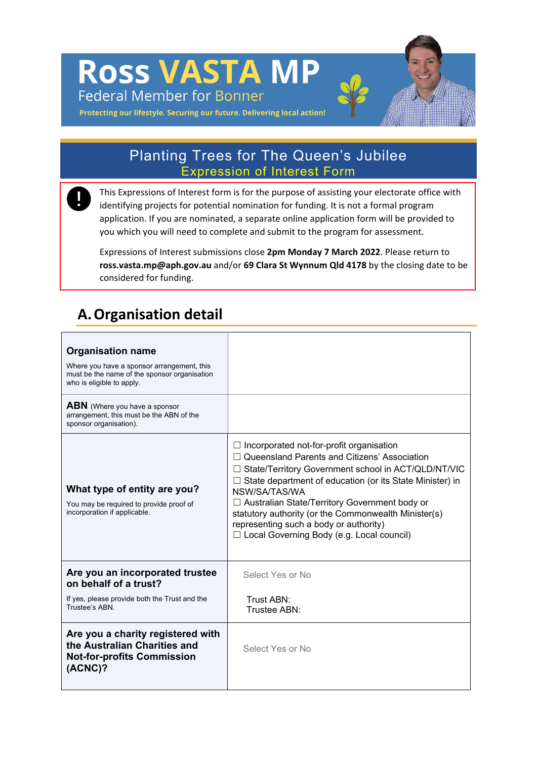**ROSS VASTA MP Federal Member for Bonner** 

Protecting our lifestyle. Securing our future. Delivering local action!

### Planting Trees for The Queen's Jubilee Expression of Interest Form

This Expressions of Interest form is for the purpose of assisting your electorate office with identifying projects for potential nomination for funding. It is not a formal program application. If you are nominated, a separate online application form will be provided to you which you will need to complete and submit to the program for assessment.

Expressions of Interest submissions close **2pm Monday 7 March 2022**. Please return to **ross.vasta.mp@aph.gov.au** and/or **69 Clara St Wynnum Qld 4178** by the closing date to be considered for funding.

## **A.Organisation detail**

| <b>Organisation name</b><br>Where you have a sponsor arrangement, this<br>must be the name of the sponsor organisation<br>who is eligible to apply.<br><b>ABN</b> (Where you have a sponsor<br>arrangement, this must be the ABN of the |                                                                                                                                                                                                                                                                                                                                                                                                                                                  |
|-----------------------------------------------------------------------------------------------------------------------------------------------------------------------------------------------------------------------------------------|--------------------------------------------------------------------------------------------------------------------------------------------------------------------------------------------------------------------------------------------------------------------------------------------------------------------------------------------------------------------------------------------------------------------------------------------------|
| sponsor organisation).<br>What type of entity are you?<br>You may be required to provide proof of<br>incorporation if applicable.                                                                                                       | $\Box$ Incorporated not-for-profit organisation<br>$\Box$ Queensland Parents and Citizens' Association<br>□ State/Territory Government school in ACT/QLD/NT/VIC<br>State department of education (or its State Minister) in<br>NSW/SA/TAS/WA<br>□ Australian State/Territory Government body or<br>statutory authority (or the Commonwealth Minister(s)<br>representing such a body or authority)<br>□ Local Governing Body (e.g. Local council) |
| Are you an incorporated trustee<br>on behalf of a trust?                                                                                                                                                                                | Select Yes or No                                                                                                                                                                                                                                                                                                                                                                                                                                 |
| If yes, please provide both the Trust and the<br>Trustee's ABN.                                                                                                                                                                         | Trust ABN:<br>Trustee ABN:                                                                                                                                                                                                                                                                                                                                                                                                                       |
| Are you a charity registered with<br>the Australian Charities and<br><b>Not-for-profits Commission</b><br>$(ACNC)$ ?                                                                                                                    | Select Yes or No                                                                                                                                                                                                                                                                                                                                                                                                                                 |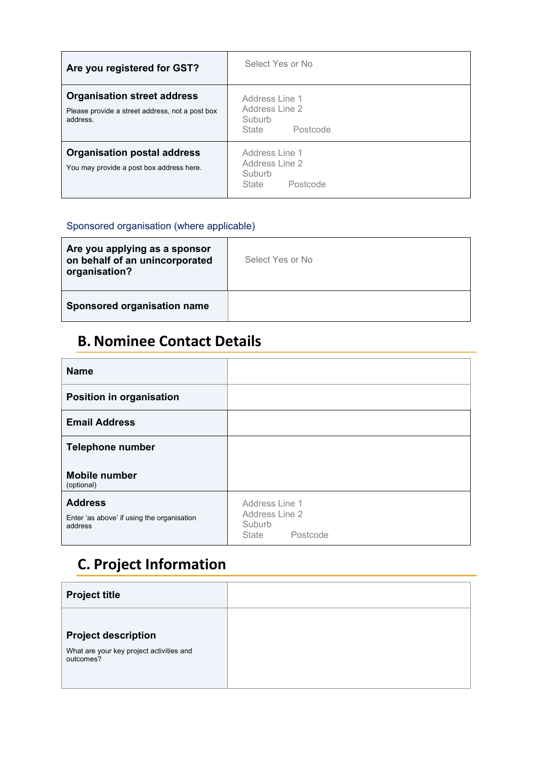| Are you registered for GST?                                                                       | Select Yes or No                                                |
|---------------------------------------------------------------------------------------------------|-----------------------------------------------------------------|
| <b>Organisation street address</b><br>Please provide a street address, not a post box<br>address. | Address Line 1<br>Address Line 2<br>Suburb<br>Postcode<br>State |
| <b>Organisation postal address</b><br>You may provide a post box address here.                    | Address Line 1<br>Address Line 2<br>Suburb<br>Postcode<br>State |

#### Sponsored organisation (where applicable)

| Are you applying as a sponsor<br>on behalf of an unincorporated<br>organisation? | Select Yes or No |
|----------------------------------------------------------------------------------|------------------|
| Sponsored organisation name                                                      |                  |

## **B. Nominee Contact Details**

| <b>Name</b>                                                             |                                                                 |
|-------------------------------------------------------------------------|-----------------------------------------------------------------|
| <b>Position in organisation</b>                                         |                                                                 |
| <b>Email Address</b>                                                    |                                                                 |
| <b>Telephone number</b>                                                 |                                                                 |
| <b>Mobile number</b><br>(optional)                                      |                                                                 |
| <b>Address</b><br>Enter 'as above' if using the organisation<br>address | Address Line 1<br>Address Line 2<br>Suburb<br>Postcode<br>State |

# **C. Project Information**

| <b>Project title</b>                                  |  |
|-------------------------------------------------------|--|
|                                                       |  |
| <b>Project description</b>                            |  |
| What are your key project activities and<br>outcomes? |  |